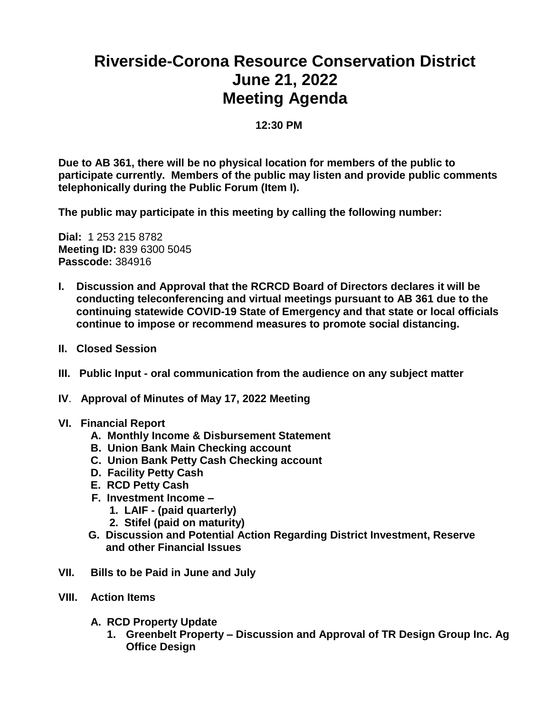## **Riverside-Corona Resource Conservation District June 21, 2022 Meeting Agenda**

**12:30 PM**

**Due to AB 361, there will be no physical location for members of the public to participate currently. Members of the public may listen and provide public comments telephonically during the Public Forum (Item I).** 

**The public may participate in this meeting by calling the following number:** 

**Dial:** 1 253 215 8782 **Meeting ID:** 839 6300 5045 **Passcode:** 384916

- **I. Discussion and Approval that the RCRCD Board of Directors declares it will be conducting teleconferencing and virtual meetings pursuant to AB 361 due to the continuing statewide COVID-19 State of Emergency and that state or local officials continue to impose or recommend measures to promote social distancing.**
- **II. Closed Session**
- **III. Public Input - oral communication from the audience on any subject matter**
- **IV**. **Approval of Minutes of May 17, 2022 Meeting**
- **VI. Financial Report**
	- **A. Monthly Income & Disbursement Statement**
	- **B. Union Bank Main Checking account**
	- **C. Union Bank Petty Cash Checking account**
	- **D. Facility Petty Cash**
	- **E. RCD Petty Cash**
	- **F. Investment Income –**
		- **1. LAIF - (paid quarterly)**
		- **2. Stifel (paid on maturity)**
	- **G. Discussion and Potential Action Regarding District Investment, Reserve and other Financial Issues**
- **VII. Bills to be Paid in June and July**
- **VIII. Action Items**
	- **A. RCD Property Update**
		- **1. Greenbelt Property – Discussion and Approval of TR Design Group Inc. Ag Office Design**